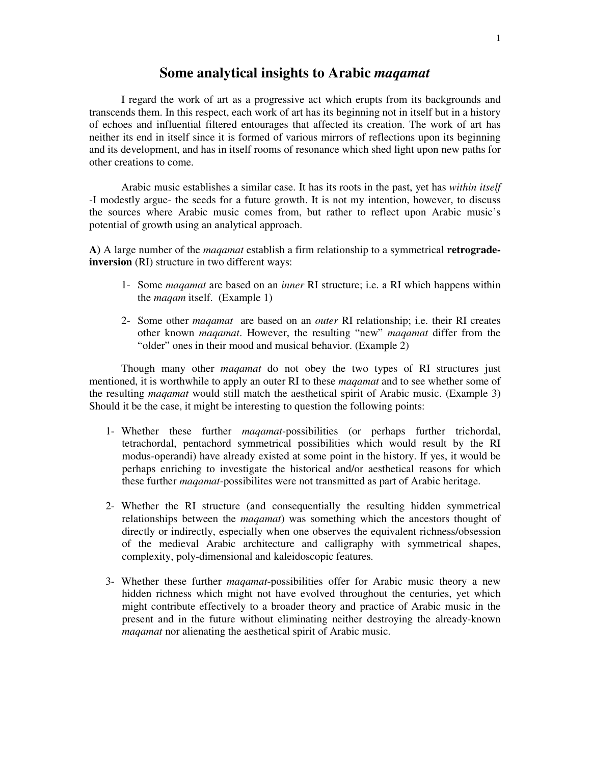## **Some analytical insights to Arabic** *maqamat*

I regard the work of art as a progressive act which erupts from its backgrounds and transcends them. In this respect, each work of art has its beginning not in itself but in a history of echoes and influential filtered entourages that affected its creation. The work of art has neither its end in itself since it is formed of various mirrors of reflections upon its beginning and its development, and has in itself rooms of resonance which shed light upon new paths for other creations to come.

Arabic music establishes a similar case. It has its roots in the past, yet has *within itself* -I modestly argue- the seeds for a future growth. It is not my intention, however, to discuss the sources where Arabic music comes from, but rather to reflect upon Arabic music's potential of growth using an analytical approach.

**A)** A large number of the *maqamat* establish a firm relationship to a symmetrical **retrogradeinversion** (RI) structure in two different ways:

- 1- Some *maqamat* are based on an *inner* RI structure; i.e. a RI which happens within the *maqam* itself. (Example 1)
- 2- Some other *maqamat* are based on an *outer* RI relationship; i.e. their RI creates other known *maqamat*. However, the resulting "new" *maqamat* differ from the "older" ones in their mood and musical behavior. (Example 2)

Though many other *maqamat* do not obey the two types of RI structures just mentioned, it is worthwhile to apply an outer RI to these *maqamat* and to see whether some of the resulting *maqamat* would still match the aesthetical spirit of Arabic music. (Example 3) Should it be the case, it might be interesting to question the following points:

- 1- Whether these further *maqamat*-possibilities (or perhaps further trichordal, tetrachordal, pentachord symmetrical possibilities which would result by the RI modus-operandi) have already existed at some point in the history. If yes, it would be perhaps enriching to investigate the historical and/or aesthetical reasons for which these further *maqamat*-possibilites were not transmitted as part of Arabic heritage.
- 2- Whether the RI structure (and consequentially the resulting hidden symmetrical relationships between the *maqamat*) was something which the ancestors thought of directly or indirectly, especially when one observes the equivalent richness/obsession of the medieval Arabic architecture and calligraphy with symmetrical shapes, complexity, poly-dimensional and kaleidoscopic features.
- 3- Whether these further *maqamat*-possibilities offer for Arabic music theory a new hidden richness which might not have evolved throughout the centuries, yet which might contribute effectively to a broader theory and practice of Arabic music in the present and in the future without eliminating neither destroying the already-known *maqamat* nor alienating the aesthetical spirit of Arabic music.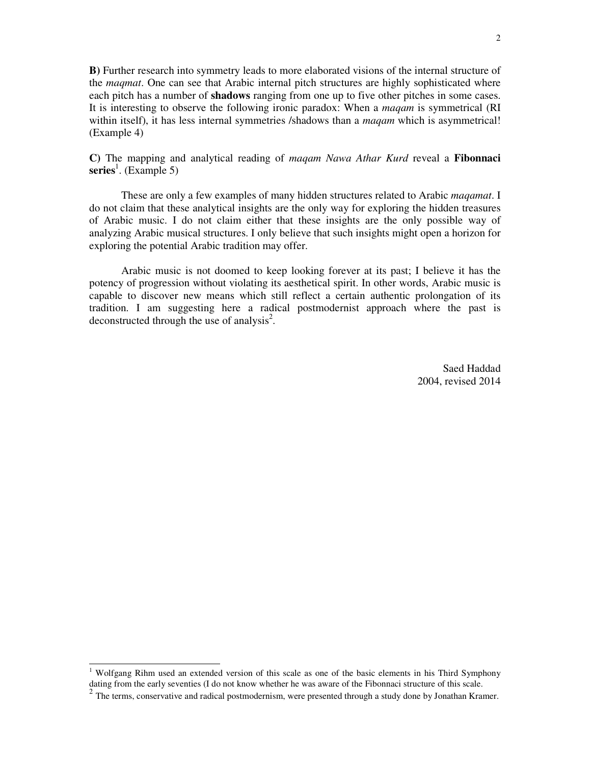**B)** Further research into symmetry leads to more elaborated visions of the internal structure of the *maqmat*. One can see that Arabic internal pitch structures are highly sophisticated where each pitch has a number of **shadows** ranging from one up to five other pitches in some cases. It is interesting to observe the following ironic paradox: When a *maqam* is symmetrical (RI within itself), it has less internal symmetries /shadows than a *maqam* which is asymmetrical! (Example 4)

**C)** The mapping and analytical reading of *maqam Nawa Athar Kurd* reveal a **Fibonnaci**  series<sup>1</sup>. (Example 5)

These are only a few examples of many hidden structures related to Arabic *maqamat*. I do not claim that these analytical insights are the only way for exploring the hidden treasures of Arabic music. I do not claim either that these insights are the only possible way of analyzing Arabic musical structures. I only believe that such insights might open a horizon for exploring the potential Arabic tradition may offer.

Arabic music is not doomed to keep looking forever at its past; I believe it has the potency of progression without violating its aesthetical spirit. In other words, Arabic music is capable to discover new means which still reflect a certain authentic prolongation of its tradition. I am suggesting here a radical postmodernist approach where the past is deconstructed through the use of analysis<sup>2</sup>.

> Saed Haddad 2004, revised 2014

<u>.</u>

<sup>&</sup>lt;sup>1</sup> Wolfgang Rihm used an extended version of this scale as one of the basic elements in his Third Symphony dating from the early seventies (I do not know whether he was aware of the Fibonnaci structure of this scale.

 $2$  The terms, conservative and radical postmodernism, were presented through a study done by Jonathan Kramer.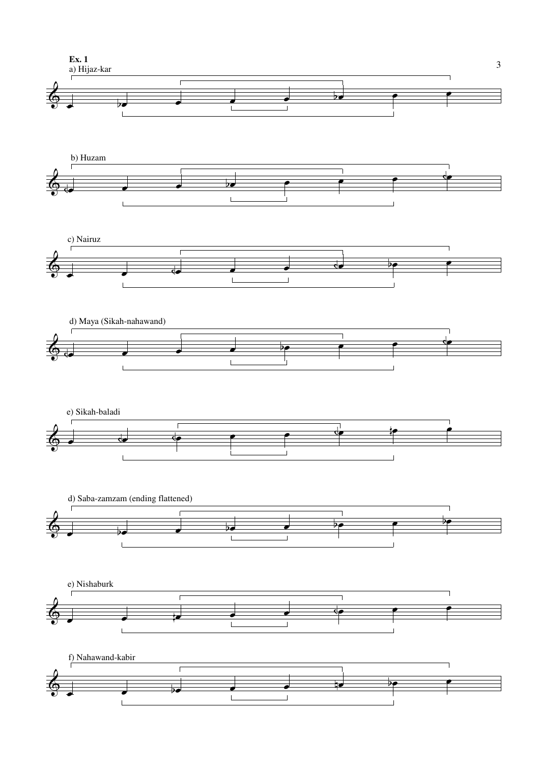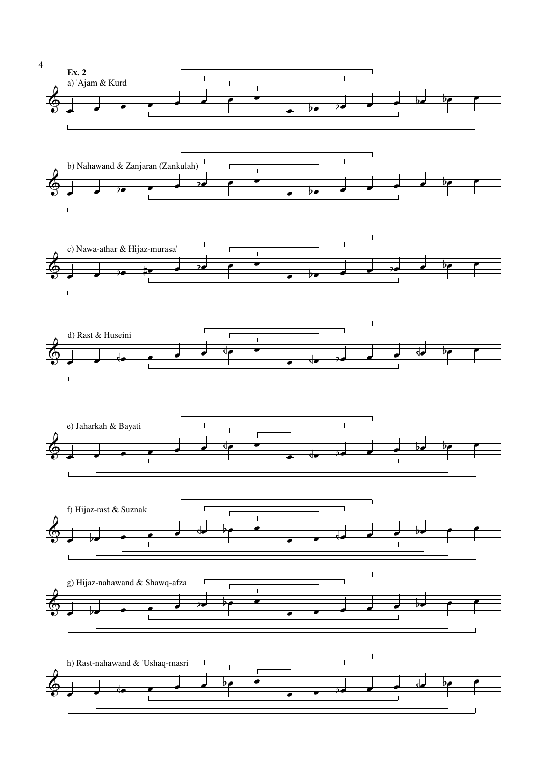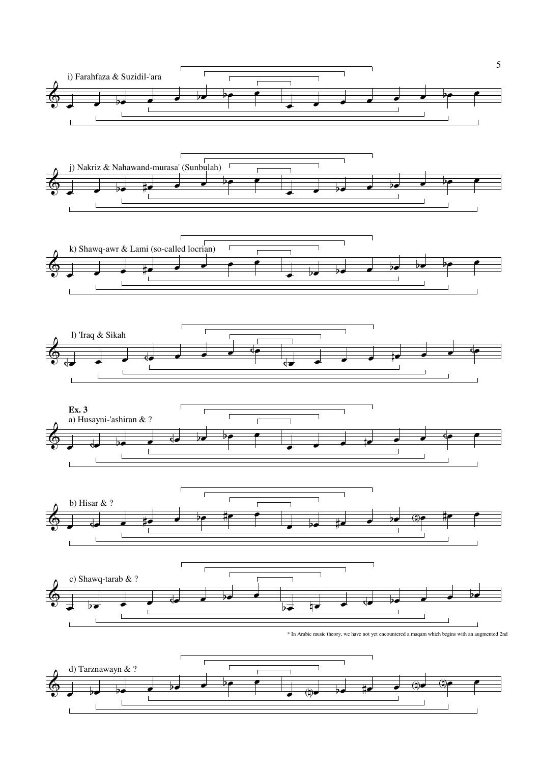

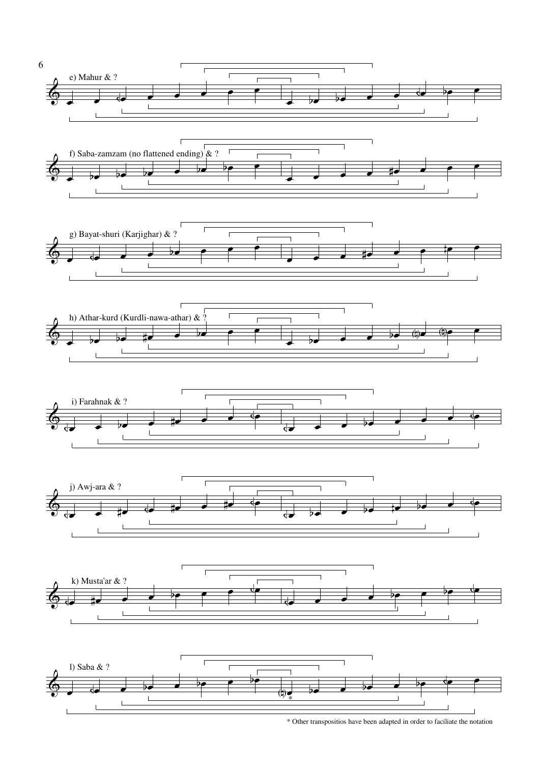

<sup>\*</sup> Other transpositios have been adapted in order to faciliate the notation